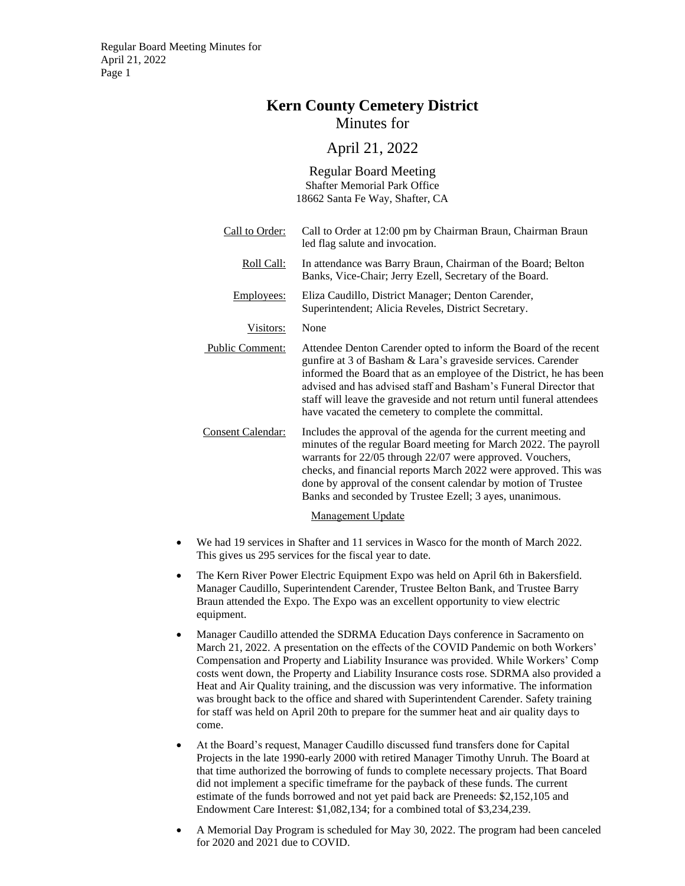# **Kern County Cemetery District**

Minutes for

# April 21, 2022

Regular Board Meeting Shafter Memorial Park Office 18662 Santa Fe Way, Shafter, CA

- Call to Order: Call to Order at 12:00 pm by Chairman Braun, Chairman Braun led flag salute and invocation. Roll Call: In attendance was Barry Braun, Chairman of the Board; Belton Banks, Vice-Chair; Jerry Ezell, Secretary of the Board. Employees: Eliza Caudillo, District Manager; Denton Carender, Superintendent; Alicia Reveles, District Secretary. Visitors: None Public Comment: Attendee Denton Carender opted to inform the Board of the recent gunfire at 3 of Basham & Lara's graveside services. Carender informed the Board that as an employee of the District, he has been advised and has advised staff and Basham's Funeral Director that staff will leave the graveside and not return until funeral attendees have vacated the cemetery to complete the committal. Consent Calendar: Includes the approval of the agenda for the current meeting and minutes of the regular Board meeting for March 2022. The payroll warrants for 22/05 through 22/07 were approved. Vouchers, checks, and financial reports March 2022 were approved. This was done by approval of the consent calendar by motion of Trustee Banks and seconded by Trustee Ezell; 3 ayes, unanimous. Management Update
- We had 19 services in Shafter and 11 services in Wasco for the month of March 2022. This gives us 295 services for the fiscal year to date.
- The Kern River Power Electric Equipment Expo was held on April 6th in Bakersfield. Manager Caudillo, Superintendent Carender, Trustee Belton Bank, and Trustee Barry Braun attended the Expo. The Expo was an excellent opportunity to view electric equipment.
- Manager Caudillo attended the SDRMA Education Days conference in Sacramento on March 21, 2022. A presentation on the effects of the COVID Pandemic on both Workers' Compensation and Property and Liability Insurance was provided. While Workers' Comp costs went down, the Property and Liability Insurance costs rose. SDRMA also provided a Heat and Air Quality training, and the discussion was very informative. The information was brought back to the office and shared with Superintendent Carender. Safety training for staff was held on April 20th to prepare for the summer heat and air quality days to come.
- At the Board's request, Manager Caudillo discussed fund transfers done for Capital Projects in the late 1990-early 2000 with retired Manager Timothy Unruh. The Board at that time authorized the borrowing of funds to complete necessary projects. That Board did not implement a specific timeframe for the payback of these funds. The current estimate of the funds borrowed and not yet paid back are Preneeds: \$2,152,105 and Endowment Care Interest: \$1,082,134; for a combined total of \$3,234,239.
- A Memorial Day Program is scheduled for May 30, 2022. The program had been canceled for 2020 and 2021 due to COVID.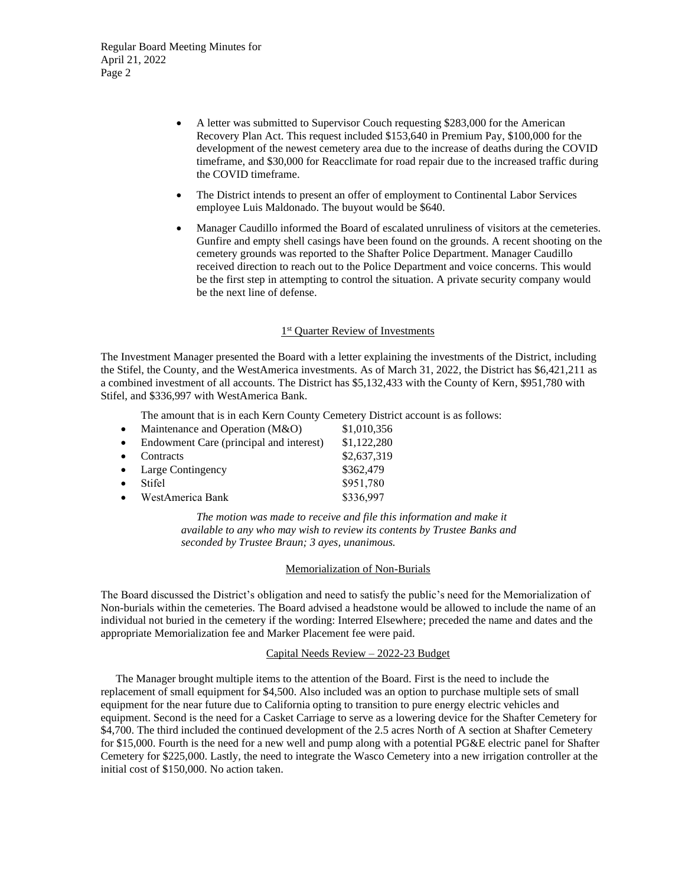Regular Board Meeting Minutes for April 21, 2022 Page 2

- A letter was submitted to Supervisor Couch requesting \$283,000 for the American Recovery Plan Act. This request included \$153,640 in Premium Pay, \$100,000 for the development of the newest cemetery area due to the increase of deaths during the COVID timeframe, and \$30,000 for Reacclimate for road repair due to the increased traffic during the COVID timeframe.
- The District intends to present an offer of employment to Continental Labor Services employee Luis Maldonado. The buyout would be \$640.
- Manager Caudillo informed the Board of escalated unruliness of visitors at the cemeteries. Gunfire and empty shell casings have been found on the grounds. A recent shooting on the cemetery grounds was reported to the Shafter Police Department. Manager Caudillo received direction to reach out to the Police Department and voice concerns. This would be the first step in attempting to control the situation. A private security company would be the next line of defense.

### 1<sup>st</sup> Quarter Review of Investments

The Investment Manager presented the Board with a letter explaining the investments of the District, including the Stifel, the County, and the WestAmerica investments. As of March 31, 2022, the District has \$6,421,211 as a combined investment of all accounts. The District has \$5,132,433 with the County of Kern, \$951,780 with Stifel, and \$336,997 with WestAmerica Bank.

The amount that is in each Kern County Cemetery District account is as follows:

| $\bullet$ | Maintenance and Operation (M&O)         | \$1,010,356 |
|-----------|-----------------------------------------|-------------|
| $\bullet$ | Endowment Care (principal and interest) | \$1,122,280 |
| $\bullet$ | Contracts                               | \$2,637,319 |
|           | • Large Contingency                     | \$362,479   |
| $\bullet$ | Stifel                                  | \$951,780   |
| $\bullet$ | WestAmerica Bank                        | \$336,997   |
|           |                                         |             |

*The motion was made to receive and file this information and make it available to any who may wish to review its contents by Trustee Banks and seconded by Trustee Braun; 3 ayes, unanimous.* 

#### Memorialization of Non-Burials

The Board discussed the District's obligation and need to satisfy the public's need for the Memorialization of Non-burials within the cemeteries. The Board advised a headstone would be allowed to include the name of an individual not buried in the cemetery if the wording: Interred Elsewhere; preceded the name and dates and the appropriate Memorialization fee and Marker Placement fee were paid.

## Capital Needs Review – 2022-23 Budget

The Manager brought multiple items to the attention of the Board. First is the need to include the replacement of small equipment for \$4,500. Also included was an option to purchase multiple sets of small equipment for the near future due to California opting to transition to pure energy electric vehicles and equipment. Second is the need for a Casket Carriage to serve as a lowering device for the Shafter Cemetery for \$4,700. The third included the continued development of the 2.5 acres North of A section at Shafter Cemetery for \$15,000. Fourth is the need for a new well and pump along with a potential PG&E electric panel for Shafter Cemetery for \$225,000. Lastly, the need to integrate the Wasco Cemetery into a new irrigation controller at the initial cost of \$150,000. No action taken.